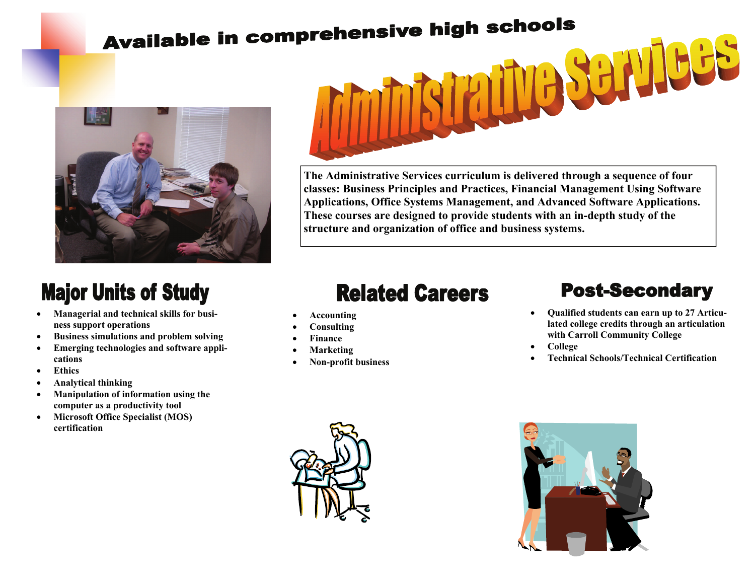# **Available in comprehensive high schools**



## **Major Units of Study**

- **Managerial and technical skills for business support operations**
- **Business simulations and problem solving**
- **Emerging technologies and software applications**
- **Ethics**
- **Analytical thinking**
- **Manipulation of information using the computer as a productivity tool**
- **Microsoft Office Specialist (MOS) certification**



**The Administrative Services curriculum is delivered through a sequence of four classes: Business Principles and Practices, Financial Management Using Software Applications, Office Systems Management, and Advanced Software Applications. These courses are designed to provide students with an in-depth study of the structure and organization of office and business systems.** 

### **Related Careers**

- **Accounting**
- **Consulting**
- **Finance**
- **Marketing**
- **Non-profit business**

#### **Post-Secondary**

- **Qualified students can earn up to 27 Articulated college credits through an articulation with Carroll Community College**
- **College**
- **Technical Schools/Technical Certification**